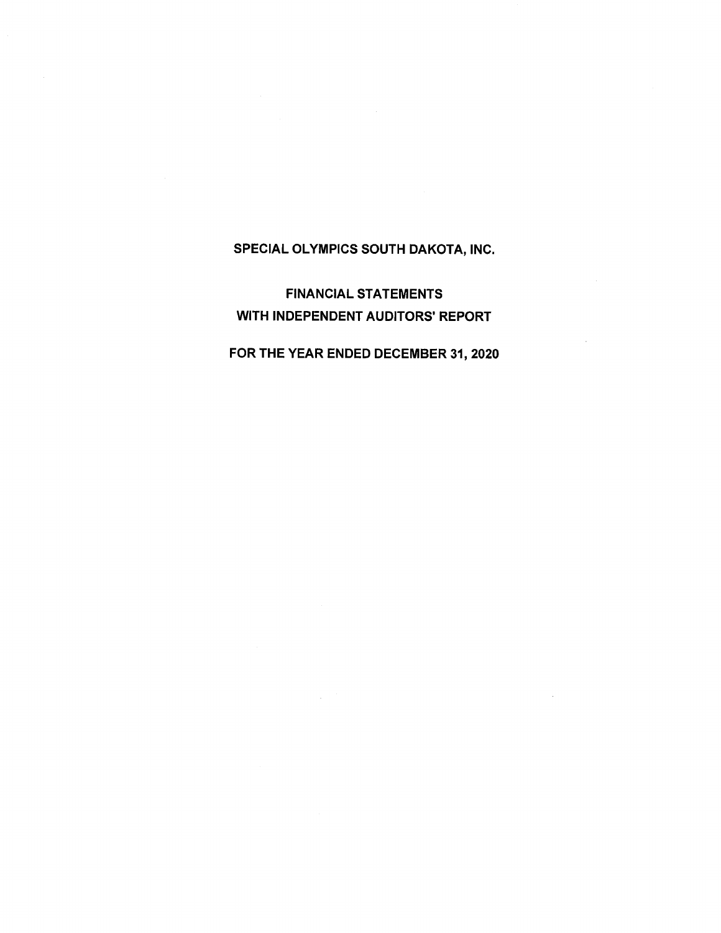# FINANCIAL STATEMENTS WITH INDEPENDENT AUDITORS' REPORT

### FOR THE YEAR ENDED DECEMBER 31, 2020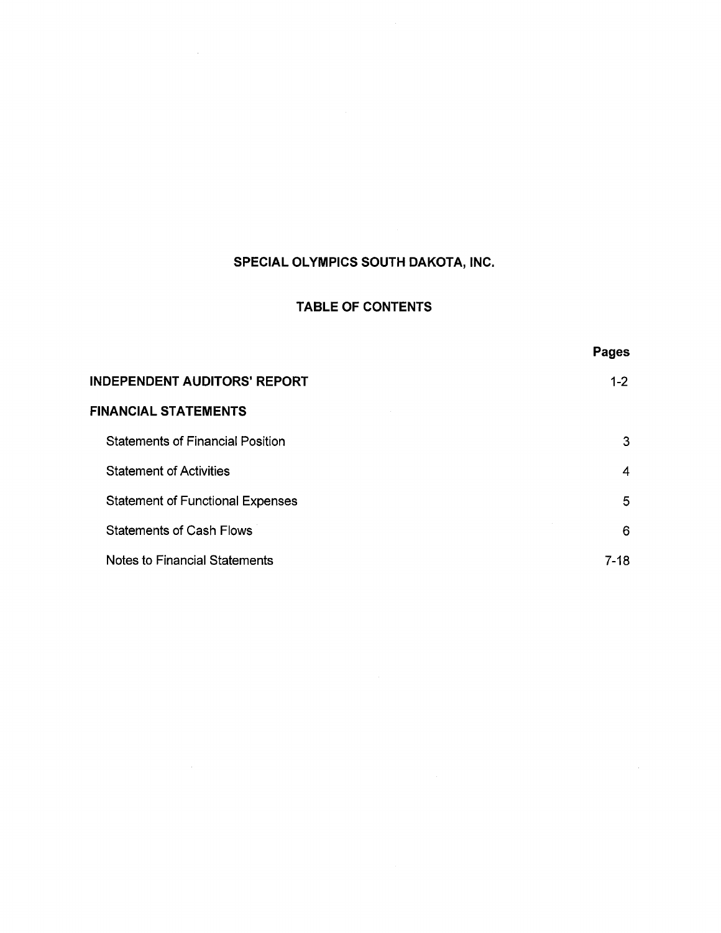### TABLE OF CONTENTS

|                                         | <b>Pages</b> |
|-----------------------------------------|--------------|
| <b>INDEPENDENT AUDITORS' REPORT</b>     | $1 - 2$      |
| <b>FINANCIAL STATEMENTS</b>             |              |
| <b>Statements of Financial Position</b> | 3            |
| <b>Statement of Activities</b>          | 4            |
| <b>Statement of Functional Expenses</b> | 5            |
| <b>Statements of Cash Flows</b>         | 6            |
| <b>Notes to Financial Statements</b>    | $7 - 18$     |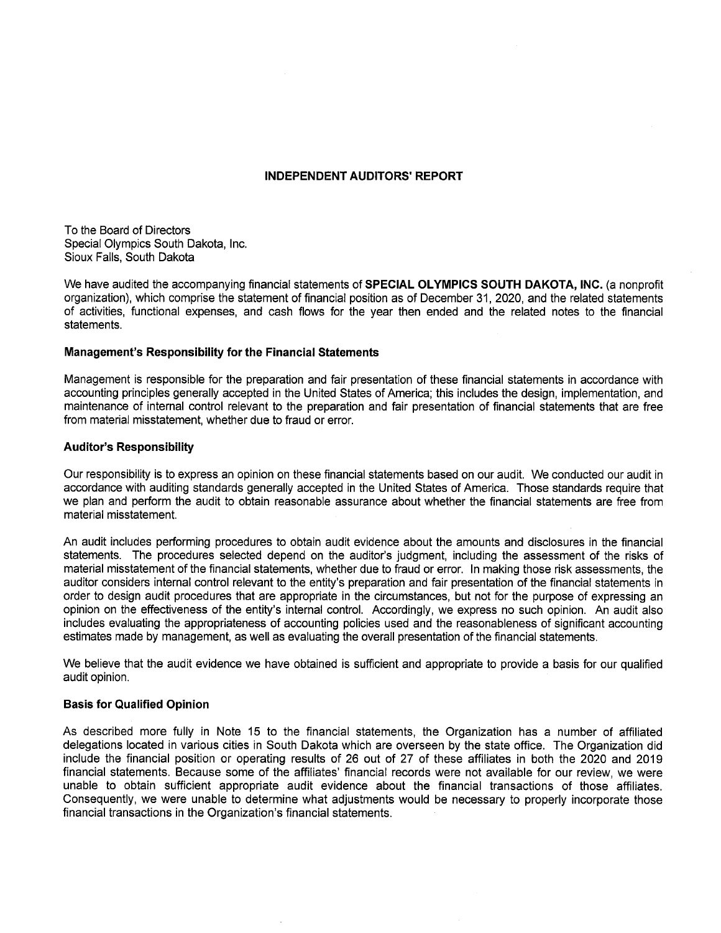#### INDEPENDENT AUDITORS' REPORT

To the Board of Directors Special Olympics South Dakota, Inc. Sioux Falls, South Dakota

We have audited the accompanying financial statements of SPECIAL OLYMPICS SOUTH DAKOTA, INC. (a nonprofit organization), which comprise the statement of financial position as of December 31, 2020, and the related statements of activities, functional expenses, and cash flows for the year then ended and the related notes to the financial statements.

#### Management's Responsibility for the Financial Statements

Management is responsible for the preparation and fair presentation of these financial statements in accordance with accounting principles generally accepted in the United States of America; this includes the design, implementation, and maintenance of internal control relevant to the preparation and fair presentation of financial statements that are free from material misstatement, whether due to fraud or error.

#### Auditor's Responsibility

Our responsibility is to express an opinion on these financial statements based on our audit. We conducted our audit in accordance with auditing standards generally accepted in the United States of America. Those standards require that we plan and perform the audit to obtain reasonable assurance about whether the financial statements are free from material misstatement.

An audit includes performing procedures to obtain audit evidence about the amounts and disclosures in the financial statements. The procedures selected depend on the auditor's judgment, including the assessment of the risks of material misstatement of the financial statements, whether due to fraud or error. In making those risk assessments, the auditor considers internal control relevant to the entity's preparation and fair presentation of the financial statements in order to design audit procedures that are appropriate in the circumstances, but not for the purpose of expressing an opinion on the effectiveness of the entity's internal control. Accordingly, we express no such opinion. An audit also includes evaluating the appropriateness of accounting policies used and the reasonableness of significant accounting estimates made by management, as well as evaluating the overall presentation of the financial statements.

We believe that the audit evidence we have obtained is sufficient and appropriate to provide a basis for our qualified audit opinion.

#### Basis for Qualified Opinion

As described more fully in Note 15 to the financial statements, the Organization has a number of affiliated delegations located in various cities in South Dakota which are overseen by the state office. The Organization did include the financial position or operating results of 26 out of 27 of these affiliates in both the 2020 and 2019 financial statements. Because some of the affiliates' financial records were not available for our review, we were unable to obtain sufficient appropriate audit evidence about the financial transactions of those affiliates. Consequently, we were unable to determine what adjustments would be necessary to properly incorporate those financial transactions in the Organization's financial statements.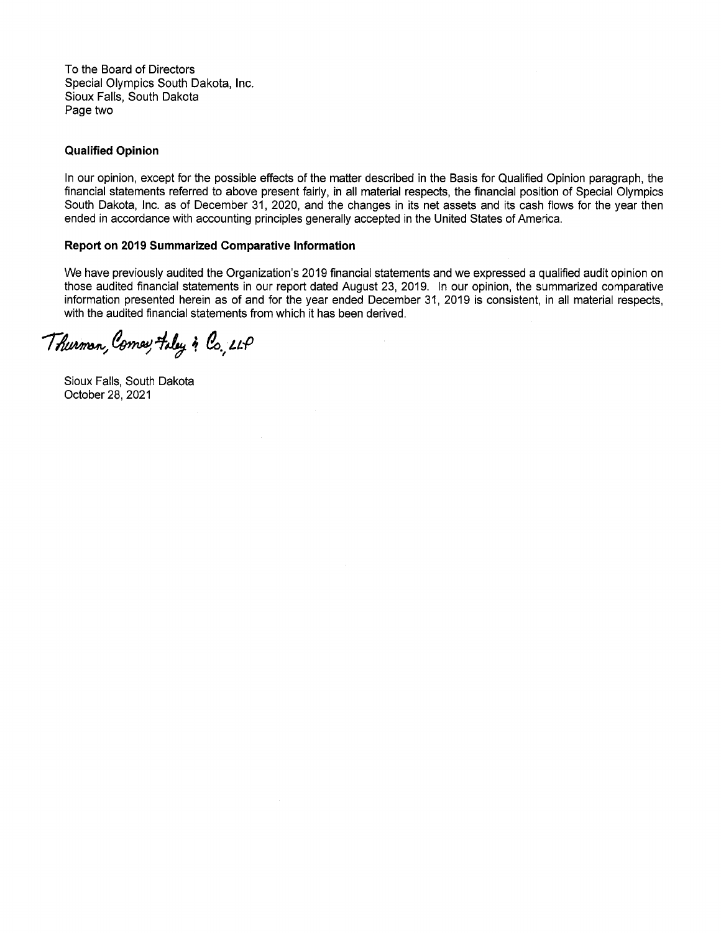To the Board of Directors Special Olympics South Dakota, Inc. Sioux Falls, South Dakota Page two

#### Qualified Opinion

In our opinion, except for the possible effects of the matter described in the Basis for Qualified Opinion paragraph, the financial statements referred to above present fairly, in all material respects, the financial position of Special Olympics South Dakota, Inc. as of December 31, 2020, and the changes in its net assets and its cash flows for the year then ended in accordance with accounting principles generally accepted in the United States of America.

#### Report on 2019 Summarized Comparative Information

We have previously audited the Organization's 2019 financial statements and we expressed a qualified audit opinion on those audited financial statements in our report dated August 23, 2019. In our opinion, the summarized comparative information presented herein as of and for the year ended December 31, 2019 is consistent, in all material respects, with the audited financial statements from which it has been derived.

Thurmon, Comey Faly & Co., LLP

Sioux Falls, South Dakota October 28, 2021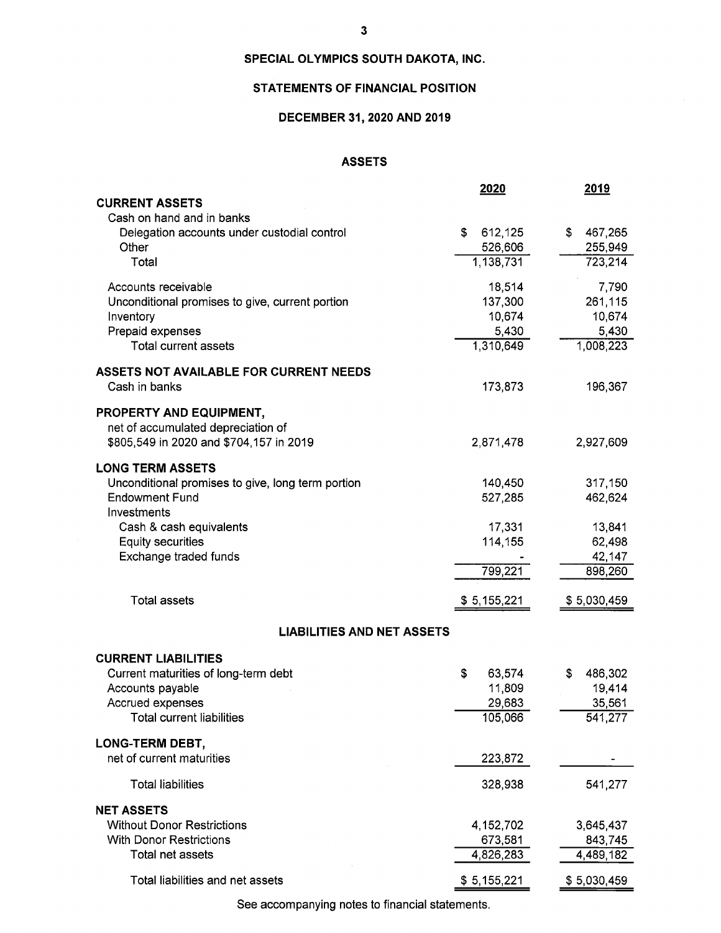#### STATEMENTS OF FINANCIAL POSITION

#### DECEMBER 31, 2020 AND 2019

#### ASSETS

|                                                      | 2020                 | 2019               |
|------------------------------------------------------|----------------------|--------------------|
| <b>CURRENT ASSETS</b>                                |                      |                    |
| Cash on hand and in banks                            |                      |                    |
| Delegation accounts under custodial control<br>Other | \$<br>612,125        | \$<br>467,265      |
| Total                                                | 526,606<br>1,138,731 | 255,949<br>723,214 |
|                                                      |                      |                    |
| Accounts receivable                                  | 18,514               | 7,790              |
| Unconditional promises to give, current portion      | 137,300              | 261.115            |
| Inventory                                            | 10,674               | 10,674             |
| Prepaid expenses                                     | 5,430                | 5,430              |
| <b>Total current assets</b>                          | 1,310,649            | 1,008,223          |
| <b>ASSETS NOT AVAILABLE FOR CURRENT NEEDS</b>        |                      |                    |
| Cash in banks                                        | 173,873              | 196,367            |
| PROPERTY AND EQUIPMENT,                              |                      |                    |
| net of accumulated depreciation of                   |                      |                    |
| \$805,549 in 2020 and \$704,157 in 2019              | 2,871,478            | 2,927,609          |
| <b>LONG TERM ASSETS</b>                              |                      |                    |
| Unconditional promises to give, long term portion    | 140,450              | 317,150            |
| <b>Endowment Fund</b>                                | 527,285              | 462,624            |
| Investments                                          |                      |                    |
| Cash & cash equivalents                              | 17,331               | 13,841             |
| <b>Equity securities</b>                             | 114,155              | 62,498             |
| Exchange traded funds                                |                      | 42,147             |
|                                                      | 799,221              | 898,260            |
| <b>Total assets</b>                                  | \$5,155,221          | \$5,030,459        |
| <b>LIABILITIES AND NET ASSETS</b>                    |                      |                    |
| <b>CURRENT LIABILITIES</b>                           |                      |                    |
| Current maturities of long-term debt                 | \$<br>63,574         | 486,302<br>S       |
| Accounts payable                                     | 11,809               | 19,414             |
| Accrued expenses                                     | 29,683               | 35,561             |
| <b>Total current liabilities</b>                     | 105,066              | 541,277            |
| <b>LONG-TERM DEBT,</b>                               |                      |                    |
| net of current maturities                            | 223,872              |                    |
| <b>Total liabilities</b>                             | 328,938              | 541,277            |
| <b>NET ASSETS</b>                                    |                      |                    |
| <b>Without Donor Restrictions</b>                    | 4,152,702            | 3,645,437          |
| <b>With Donor Restrictions</b>                       | 673,581              | 843 745            |
| Total net assets                                     | 4,826,283            | 4,489,182          |
| Total liabilities and net assets                     | \$5,155,221          | \$5,030,459        |

See accompanying notes to financial statements.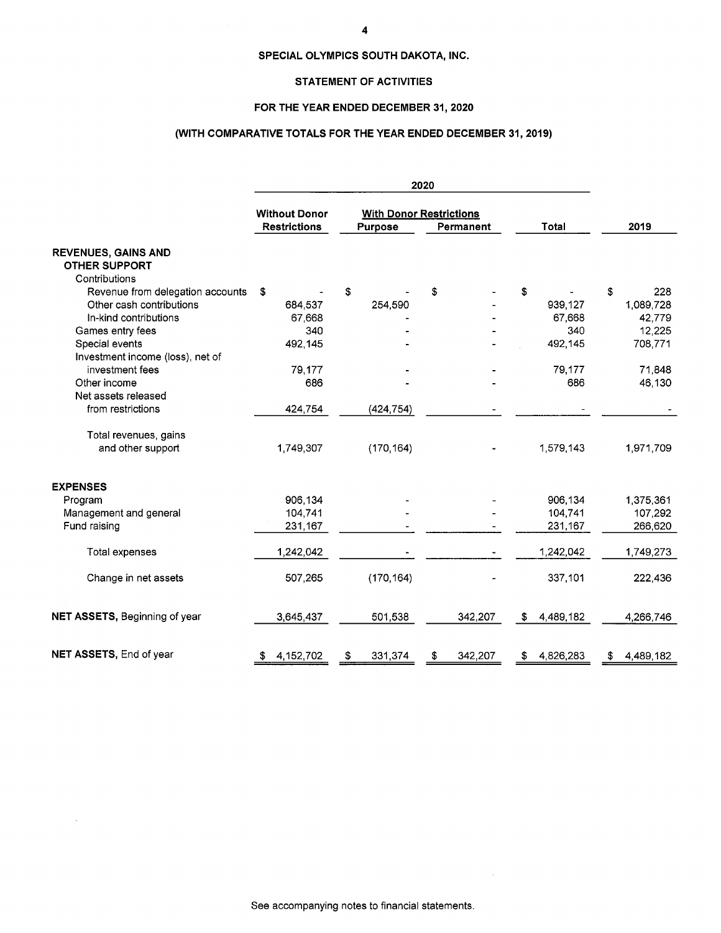#### STATEMENT OF ACTIVITIES

#### FOR THE YEAR ENDED DECEMBER 31,2020

#### (WITH COMPARATIVE TOTALS FOR THE YEAR ENDED DECEMBER 31, 2019)

|                                  | 2020                                        |                                                  |               |                 |                 |
|----------------------------------|---------------------------------------------|--------------------------------------------------|---------------|-----------------|-----------------|
|                                  | <b>Without Donor</b><br><b>Restrictions</b> | <b>With Donor Restrictions</b><br><b>Purpose</b> | Permanent     | Total           | 2019            |
| <b>REVENUES, GAINS AND</b>       |                                             |                                                  |               |                 |                 |
| <b>OTHER SUPPORT</b>             |                                             |                                                  |               |                 |                 |
| Contributions                    |                                             |                                                  |               |                 |                 |
| Revenue from delegation accounts | \$                                          | \$                                               | \$            | \$              | \$<br>228       |
| Other cash contributions         | 684,537                                     | 254,590                                          |               | 939,127         | 1,089,728       |
| In-kind contributions            | 67,668                                      |                                                  |               | 67,668          | 42,779          |
| Games entry fees                 | 340                                         |                                                  |               | 340             | 12,225          |
| Special events                   | 492,145                                     |                                                  |               | 492,145         | 708,771         |
| Investment income (loss), net of |                                             |                                                  |               |                 |                 |
| investment fees                  | 79,177                                      |                                                  |               | 79,177          | 71,848          |
| Other income                     | 686                                         |                                                  |               | 686             | 46,130          |
| Net assets released              |                                             |                                                  |               |                 |                 |
| from restrictions                | 424,754                                     | (424, 754)                                       |               |                 |                 |
| Total revenues, gains            |                                             |                                                  |               |                 |                 |
| and other support                | 1,749,307                                   | (170, 164)                                       |               | 1,579,143       | 1,971,709       |
| <b>EXPENSES</b>                  |                                             |                                                  |               |                 |                 |
| Program                          | 906,134                                     |                                                  |               | 906,134         | 1,375,361       |
| Management and general           | 104,741                                     |                                                  |               | 104,741         | 107,292         |
| Fund raising                     | 231,167                                     |                                                  |               | 231,167         | 266,620         |
| Total expenses                   | 1,242,042                                   |                                                  |               | 1,242,042       | 1,749,273       |
| Change in net assets             | 507,265                                     | (170, 164)                                       |               | 337,101         | 222,436         |
| NET ASSETS, Beginning of year    | 3,645,437                                   | 501,538                                          | 342,207       | 4,489,182<br>\$ | 4,266,746       |
|                                  |                                             |                                                  |               |                 |                 |
| NET ASSETS, End of year          | 4, 152, 702                                 | 331,374                                          | 342,207<br>\$ | 4,826,283<br>\$ | 4,489,182<br>\$ |

 $\sim$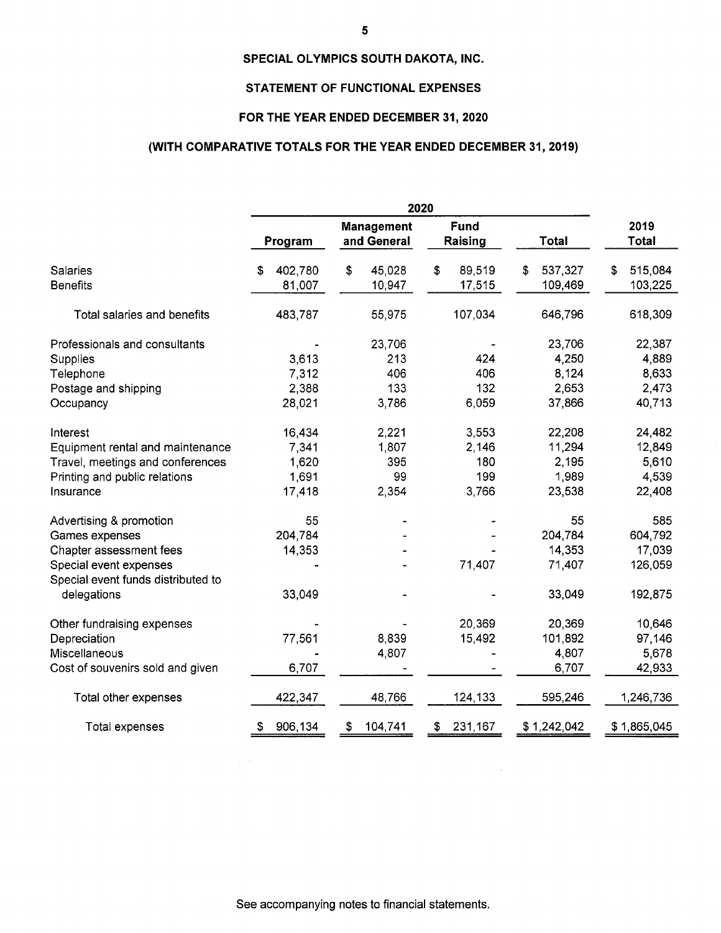### STATEMENT OF FUNCTIONAL EXPENSES

### FOR THE YEAR ENDED DECEMBER 31,2020

### (WITH COMPARATIVE TOTALS FOR THE YEAR ENDED DECEMBER 31, 2019)

|                                    | 2020          |                                  |                        |              |                      |
|------------------------------------|---------------|----------------------------------|------------------------|--------------|----------------------|
|                                    | Program       | <b>Management</b><br>and General | <b>Fund</b><br>Raising | <b>Total</b> | 2019<br><b>Total</b> |
| <b>Salaries</b>                    | 402,780<br>\$ | \$<br>45,028                     | \$<br>89,519           | S<br>537,327 | 515,084<br>\$        |
| <b>Benefits</b>                    | 81,007        | 10,947                           | 17,515                 | 109,469      | 103,225              |
| Total salaries and benefits        | 483,787       | 55,975                           | 107,034                | 646,796      | 618,309              |
| Professionals and consultants      |               | 23,706                           |                        | 23,706       | 22,387               |
| Supplies                           | 3,613         | 213                              | 424                    | 4,250        | 4,889                |
| Telephone                          | 7,312         | 406                              | 406                    | 8,124        | 8,633                |
| Postage and shipping               | 2,388         | 133                              | 132                    | 2,653        | 2,473                |
| Occupancy                          | 28,021        | 3,786                            | 6,059                  | 37,866       | 40,713               |
| Interest                           | 16,434        | 2,221                            | 3,553                  | 22,208       | 24,482               |
| Equipment rental and maintenance   | 7,341         | 1,807                            | 2,146                  | 11,294       | 12,849               |
| Travel, meetings and conferences   | 1,620         | 395                              | 180                    | 2,195        | 5,610                |
| Printing and public relations      | 1,691         | 99                               | 199                    | 1,989        | 4,539                |
| Insurance                          | 17,418        | 2,354                            | 3,766                  | 23,538       | 22,408               |
| Advertising & promotion            | 55            |                                  |                        | 55           | 585                  |
| Games expenses                     | 204,784       |                                  |                        | 204,784      | 604,792              |
| Chapter assessment fees            | 14,353        |                                  |                        | 14,353       | 17,039               |
| Special event expenses             |               |                                  | 71,407                 | 71,407       | 126,059              |
| Special event funds distributed to |               |                                  |                        |              |                      |
| delegations                        | 33,049        |                                  |                        | 33,049       | 192,875              |
| Other fundraising expenses         |               |                                  | 20,369                 | 20,369       | 10,646               |
| Depreciation                       | 77,561        | 8,839                            | 15,492                 | 101,892      | 97,146               |
| Miscellaneous                      |               | 4,807                            |                        | 4,807        | 5,678                |
| Cost of souvenirs sold and given   | 6,707         |                                  |                        | 6,707        | 42,933               |
| Total other expenses               | 422,347       | 48,766                           | 124,133                | 595,246      | 1,246,736            |
| Total expenses                     | 906,134<br>\$ | 104,741<br>\$                    | 231,167<br>\$          | \$1,242,042  | \$1,865,045          |

 $\mathcal{A}$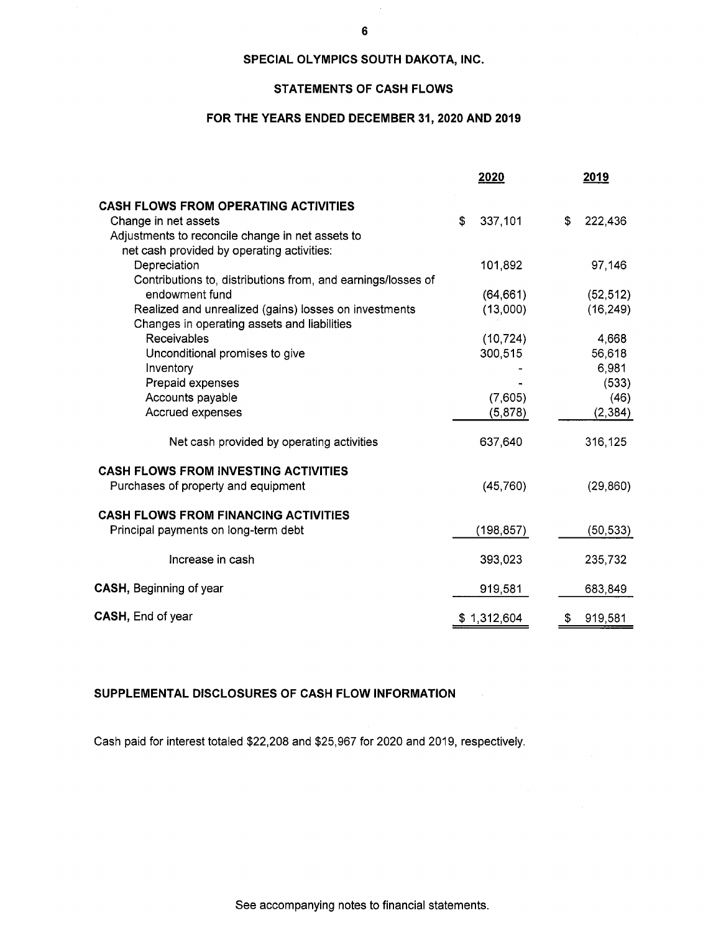#### STATEMENTS OF CASH FLOWS

#### FOR THE YEARS ENDED DECEMBER 31, 2020 AND 2019

|                                                              | 2020          |    | 2019      |
|--------------------------------------------------------------|---------------|----|-----------|
| <b>CASH FLOWS FROM OPERATING ACTIVITIES</b>                  |               |    |           |
| Change in net assets                                         | \$<br>337,101 | \$ | 222,436   |
| Adjustments to reconcile change in net assets to             |               |    |           |
| net cash provided by operating activities:                   |               |    |           |
| Depreciation                                                 | 101,892       |    | 97,146    |
| Contributions to, distributions from, and earnings/losses of |               |    |           |
| endowment fund                                               | (64, 661)     |    | (52, 512) |
| Realized and unrealized (gains) losses on investments        | (13,000)      |    | (16, 249) |
| Changes in operating assets and liabilities                  |               |    |           |
| <b>Receivables</b>                                           | (10, 724)     |    | 4,668     |
| Unconditional promises to give                               | 300,515       |    | 56,618    |
| Inventory                                                    |               |    | 6,981     |
| Prepaid expenses                                             |               |    | (533)     |
| Accounts payable                                             | (7,605)       |    | (46)      |
| Accrued expenses                                             | (5,878)       |    | (2, 384)  |
| Net cash provided by operating activities                    | 637,640       |    | 316,125   |
| <b>CASH FLOWS FROM INVESTING ACTIVITIES</b>                  |               |    |           |
| Purchases of property and equipment                          | (45,760)      |    | (29, 860) |
| <b>CASH FLOWS FROM FINANCING ACTIVITIES</b>                  |               |    |           |
| Principal payments on long-term debt                         | (198, 857)    |    | (50, 533) |
| Increase in cash                                             | 393,023       |    | 235,732   |
| <b>CASH, Beginning of year</b>                               | 919,581       |    | 683,849   |
| <b>CASH, End of year</b>                                     | \$1,312,604   | \$ | 919,581   |

#### SUPPLEMENTAL DISCLOSURES OF CASH FLOW INFORMATION

Cash paid for interest totaled \$22,208 and \$25,967 for 2020 and 2019, respectively.

6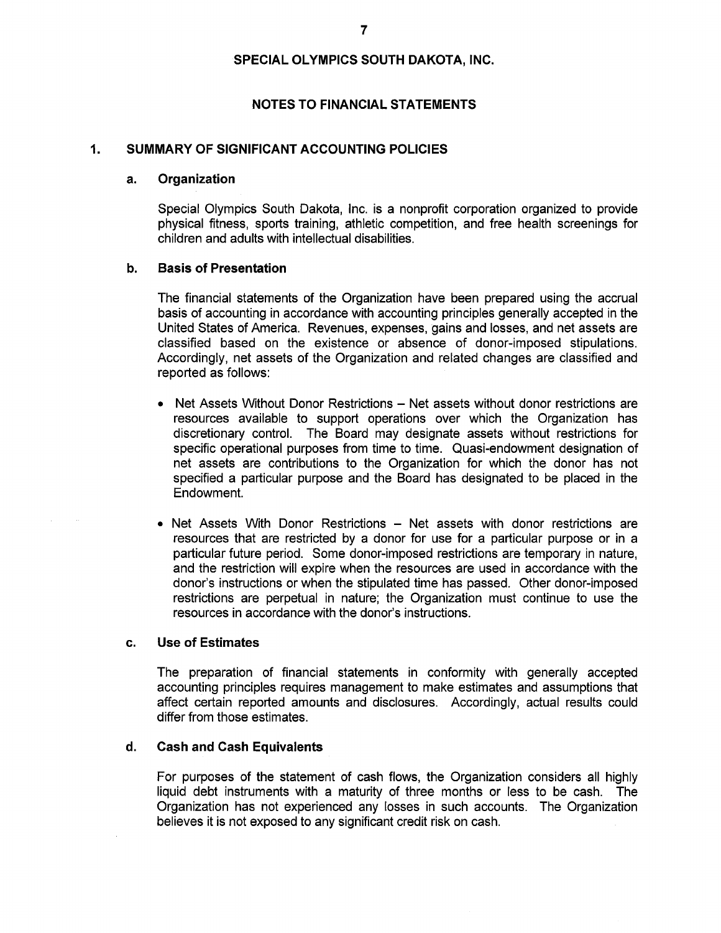#### NOTES TO FINANCIAL STATEMENTS

#### 1. SUMMARY OF SIGNIFICANT ACCOUNTING POLICIES

#### a. Organization

Special Olympics South Dakota, Inc. is a nonprofit corporation organized to provide physical fitness, sports training, athletic competition, and free health screenings for children and adults with intellectual disabilities.

#### b. Basis of Presentation

The financial statements of the Organization have been prepared using the accrual basis of accounting in accordance with accounting principles generally accepted in the United States of America. Revenues, expenses, gains and losses, and net assets are classified based on the existence or absence of donor-imposed stipulations. Accordingly, net assets of the Organization and related changes are classified and reported as follows:

- Net Assets Without Donor Restrictions Net assets without donor restrictions are resources available to support operations over which the Organization has discretionary control. The Board may designate assets without restrictions for specific operational purposes from time to time. Quasi-endowment designation of net assets are contributions to the Organization for which the donor has not specified a particular purpose and the Board has designated to be placed in the Endowment.
- Net Assets With Donor Restrictions Net assets with donor restrictions are resources that are restricted by a donor for use for a particular purpose or in a particular future period. Some donor-imposed restrictions are temporary in nature, and the restriction will expire when the resources are used in accordance with the donor's instructions or when the stipulated time has passed. Other donor-imposed restrictions are perpetual in nature; the Organization must continue to use the resources in accordance with the donor's instructions.

#### c. Use of Estimates

The preparation of financial statements in conformity with generally accepted accounting principles requires management to make estimates and assumptions that affect certain reported amounts and disclosures. Accordingly, actual results could differ from those estimates.

#### d. Cash and Cash Equivalents

For purposes of the statement of cash flows, the Organization considers all highly liquid debt instruments with a maturity of three months or less to be cash. The Organization has not experienced any losses in such accounts. The Organization believes it is not exposed to any significant credit risk on cash.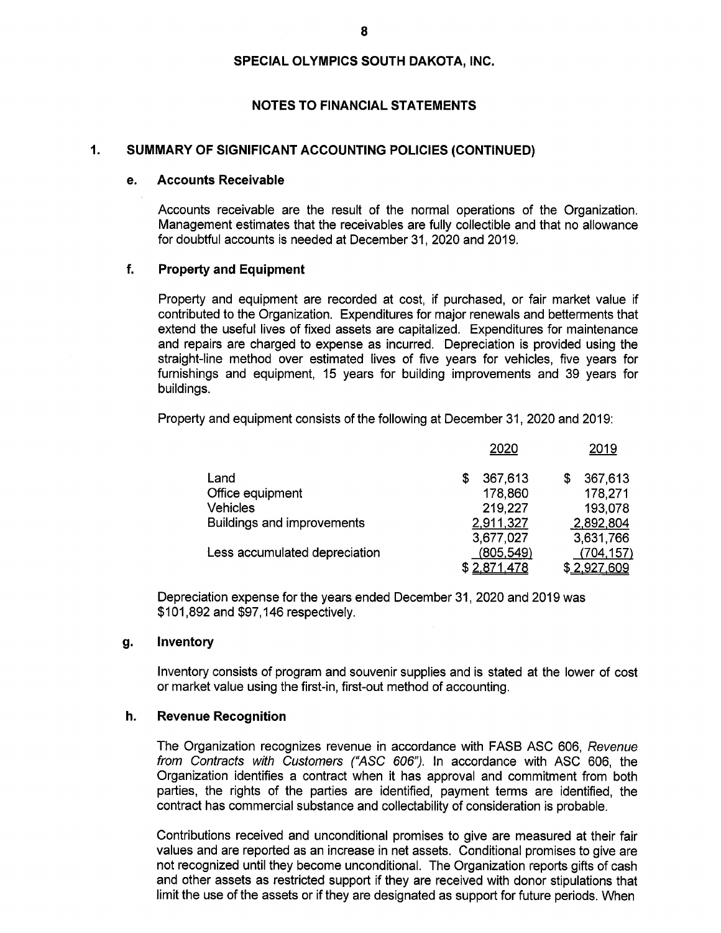#### NOTES TO FINANCIAL STATEMENTS

#### 1. SUMMARY OF SIGNIFICANT ACCOUNTING POLICIES (CONTINUED)

#### e. Accounts Receivable

Accounts receivable are the result of the normal operations of the Organization. Management estimates that the receivables are fully collectible and that no allowance for doubtful accounts is needed at December 31, 2020 and 2019.

#### f. Property and Equipment

Property and equipment are recorded at cost, if purchased, or fair market value if contributed to the Organization. Expenditures for major renewals and betterments that extend the useful lives of fixed assets are capitalized. Expenditures for maintenance and repairs are charged to expense as incurred. Depreciation is provided using the straight-line method over estimated lives of five years for vehicles, five years for furnishings and equipment, 15 years for building improvements and 39 years for buildings.

Property and equipment consists of the following at December 31, 2020 and 2019:

|                               | 2020         | 2019         |
|-------------------------------|--------------|--------------|
| Land                          | 367,613<br>S | 367,613<br>S |
| Office equipment              | 178,860      | 178,271      |
| Vehicles                      | 219,227      | 193,078      |
| Buildings and improvements    | 2,911,327    | 2,892,804    |
|                               | 3,677,027    | 3,631,766    |
| Less accumulated depreciation | (805,549)    | (704, 157)   |
|                               |              | 2,927,609    |

Depreciation expense for the years ended December 31, 2020 and 2019 was \$101,892 and \$97,146 respectively.

#### g. Inventory

Inventory consists of program and souvenir supplies and is stated at the lower of cost or market value using the first-in, first-out method of accounting.

#### h. Revenue Recognition

The Organization recognizes revenue in accordance with FASB ASC 606, Revenue from Contracts with Customers ("ASC 606"). In accordance with ASC 606, the Organization identifies a contract when it has approval and commitment from both parties, the rights of the parties are identified, payment terms are identified, the contract has commercial substance and collectability of consideration is probable.

Contributions received and unconditional promises to give are measured at their fair values and are reported as an increase in net assets. Conditional promises to give are not recognized until they become unconditional. The Organization reports gifts of cash and other assets as restricted support if they are received with donor stipulations that limit the use of the assets or if they are designated as support for future periods. When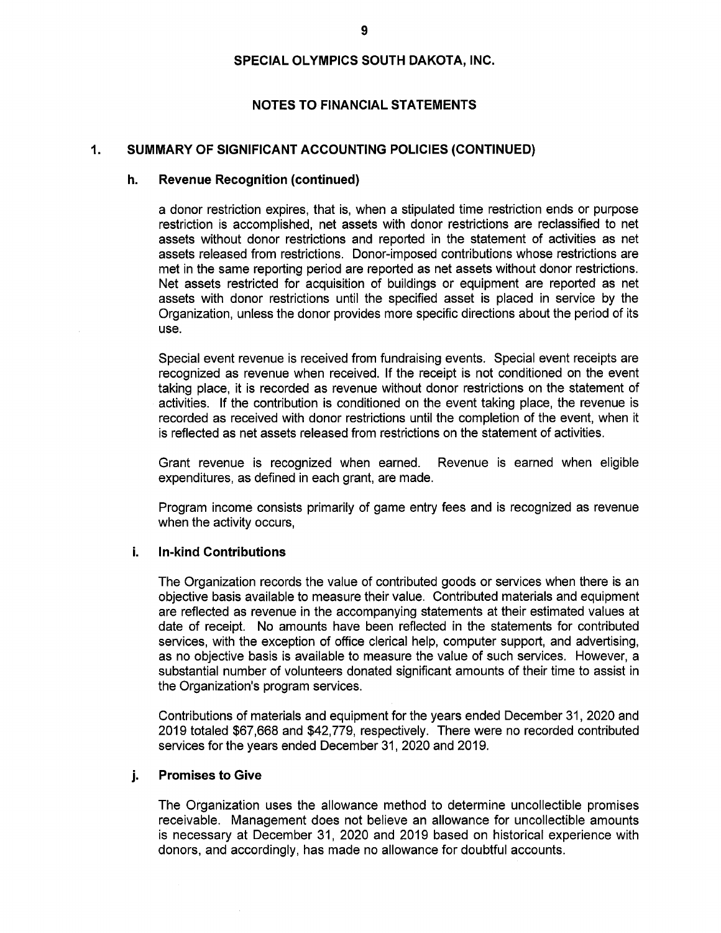#### NOTES TO FINANCIAL STATEMENTS

#### 1. SUMMARY OF SIGNIFICANT ACCOUNTING POLICIES (CONTINUED)

#### h. Revenue Recognition (continued)

a donor restriction expires, that is, when a stipulated time restriction ends or purpose restriction is accomplished, net assets with donor restrictions are reclassified to net assets without donor restrictions and reported in the statement of activities as net assets released from restrictions. Donor-imposed contributions whose restrictions are met in the same reporting period are reported as net assets without donor restrictions. Net assets restricted for acquisition of buildings or equipment are reported as net assets with donor restrictions until the specified asset is placed in service by the Organization, unless the donor provides more specific directions about the period of its use.

Special event revenue is received from fundraising events. Special event receipts are recognized as revenue when received. If the receipt is not conditioned on the event taking place, it is recorded as revenue without donor restrictions on the statement of activities. If the contribution is conditioned on the event taking place, the revenue is recorded as received with donor restrictions until the completion of the event, when it is reflected as net assets released from restrictions on the statement of activities.

Grant revenue is recognized when earned. Revenue is earned when eligible expenditures, as defined in each grant, are made.

Program income consists primarily of game entry fees and is recognized as revenue when the activity occurs,

#### i. In-kind Contributions

The Organization records the value of contributed goods or services when there is an objective basis available to measure their value. Contributed materials and equipment are reflected as revenue in the accompanying statements at their estimated values at date of receipt. No amounts have been reflected in the statements for contributed services, with the exception of office clerical help, computer support, and advertising, as no objective basis is available to measure the value of such services. However, a substantial number of volunteers donated significant amounts of their time to assist in the Organization's program services.

Contributions of materials and equipment for the years ended December 31, 2020 and 2019 totaled \$67,668 and \$42,779, respectively. There were no recorded contributed services for the years ended December 31, 2020 and 2019.

#### j. Promises to Give

The Organization uses the allowance method to determine uncollectible promises receivable. Management does not believe an allowance for uncollectible amounts is necessary at December 31, 2020 and 2019 based on historical experience with donors, and accordingly, has made no allowance for doubtful accounts.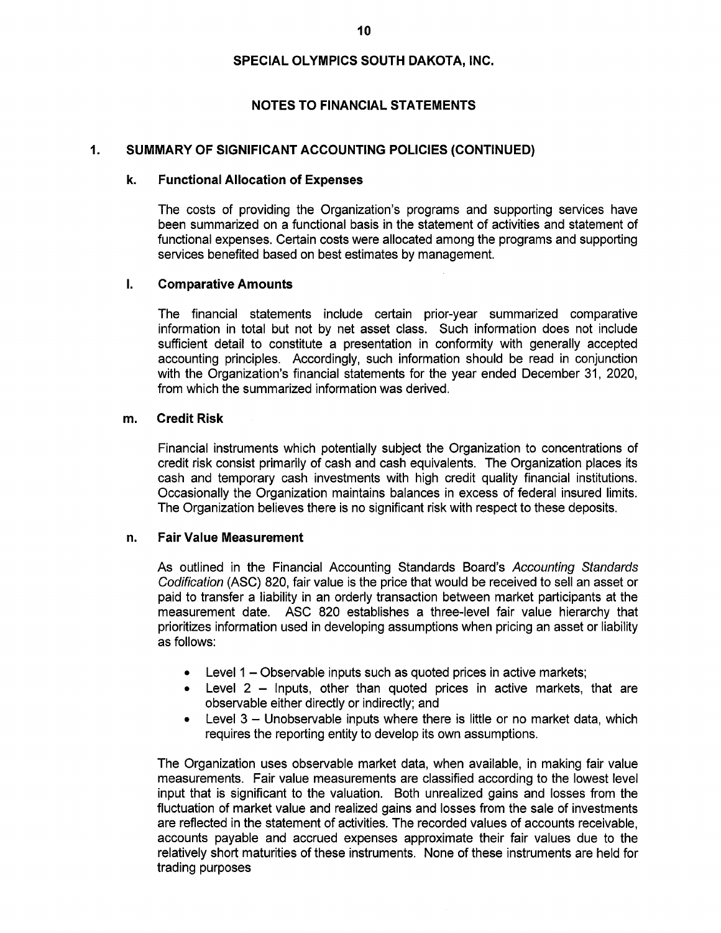#### NOTES TO FINANCIAL STATEMENTS

#### 1. SUMMARY OF SIGNIFICANT ACCOUNTING POLICIES (CONTINUED)

#### k. Functional Allocation of Expenses

The costs of providing the Organization's programs and supporting services have been summarized on a functional basis in the statement of activities and statement of functional expenses. Certain costs were allocated among the programs and supporting services benefited based on best estimates by management.

#### I. Comparative Amounts

The financial statements include certain prior-year summarized comparative information in total but not by net asset class. Such information does not include sufficient detail to constitute a presentation in conformity with generally accepted accounting principles. Accordingly, such information should be read in conjunction with the Organization's financial statements for the year ended December 31, 2020, from which the summarized information was derived.

#### m. Credit Risk

Financial instruments which potentially subject the Organization to concentrations of credit risk consist primarily of cash and cash equivalents. The Organization places its cash and temporary cash investments with high credit quality financial institutions. Occasionally the Organization maintains balances in excess of federal insured limits. The Organization believes there is no significant risk with respect to these deposits.

#### n. Fair Value Measurement

As outlined in the Financial Accounting Standards Board's Accounting Standards Codification (ASC) 820, fair value is the price that would be received to sell an asset or paid to transfer a liability in an orderly transaction between market participants at the measurement date. ASC 820 establishes a three-level fair value hierarchy that prioritizes information used in developing assumptions when pricing an asset or liability as follows:

- $\bullet$  Level 1 Observable inputs such as quoted prices in active markets;
- $\bullet$  Level 2 Inputs, other than quoted prices in active markets, that are observable either directly or indirectly; and
- $\bullet$  Level 3 Unobservable inputs where there is little or no market data, which requires the reporting entity to develop its own assumptions.

The Organization uses observable market data, when available, in making fair value measurements. Fair value measurements are classified according to the lowest level input that is significant to the valuation. Both unrealized gains and losses from the fluctuation of market value and realized gains and losses from the sale of investments are reflected in the statement of activities. The recorded values of accounts receivable, accounts payable and accrued expenses approximate their fair values due to the relatively short maturities of these instruments. None of these instruments are held for trading purposes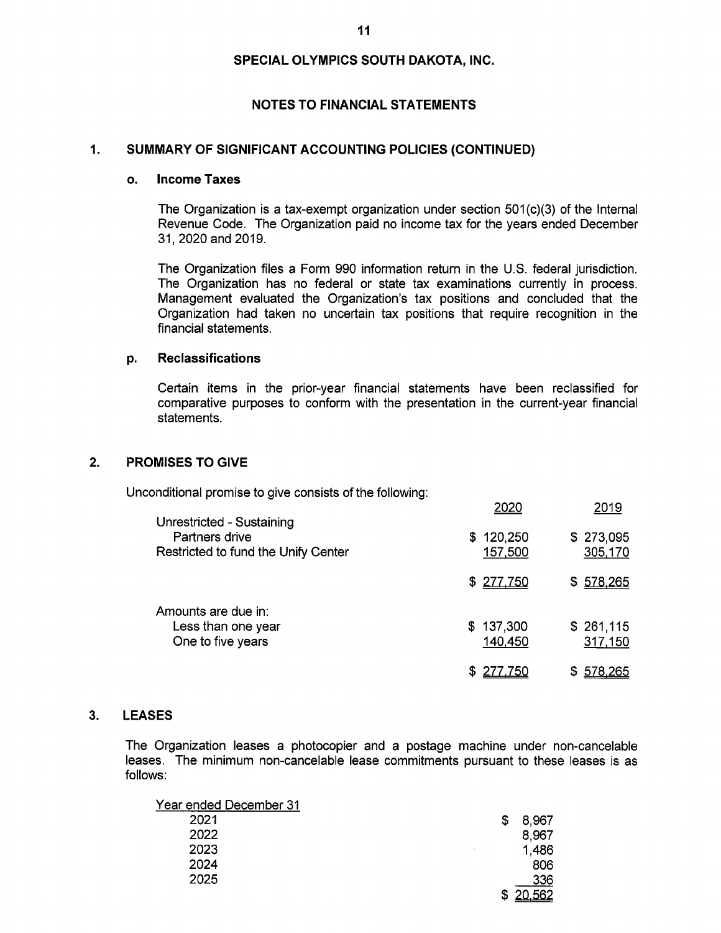### NOTES TO FINANCIAL STATEMENTS

#### 1. SUMMARY OF SIGNIFICANT ACCOUNTING POLICIES (CONTINUED)

#### o. Income Taxes

The Organization is a tax-exempt organization under section 501(c)(3) of the Internal Revenue Code. The Organization paid no income tax for the years ended December 31, 2020 and 2019.

The Organization files a Form 990 information return in the U.S. federal jurisdiction. The Organization has no federal or state tax examinations currently in process. Management evaluated the Organization's tax positions and concluded that the Organization had taken no uncertain tax positions that require recognition in the financial statements.

#### p. Reclassifications

Certain items in the prior-year financial statements have been reclassified for comparative purposes to conform with the presentation in the current-year financial statements.

#### 2. PROMISES TO GIVE

Unconditional promise to give consists of the following:

| onditional promise to give consists of the following:                              |                      |                      |
|------------------------------------------------------------------------------------|----------------------|----------------------|
|                                                                                    | 2020                 | 2019                 |
| Unrestricted - Sustaining<br>Partners drive<br>Restricted to fund the Unify Center | \$120,250<br>157,500 | \$273,095<br>305,170 |
|                                                                                    | \$ 277,750           | \$578,265            |
| Amounts are due in:<br>Less than one year<br>One to five years                     | \$137,300<br>140,450 | \$261,115<br>317,150 |
|                                                                                    | 277.750              | 578,265              |

#### 3. LEASES

The Organization leases a photocopier and a postage machine under non-cancelable leases. The minimum non-cancelable lease commitments pursuant to these leases is as follows:

| <u>Year ended December 31</u> |       |
|-------------------------------|-------|
| 2021                          | 8,967 |
| 2022                          | 8,967 |
| 2023                          | 1,486 |
| 2024                          | 806   |
| 2025                          | 336   |
|                               |       |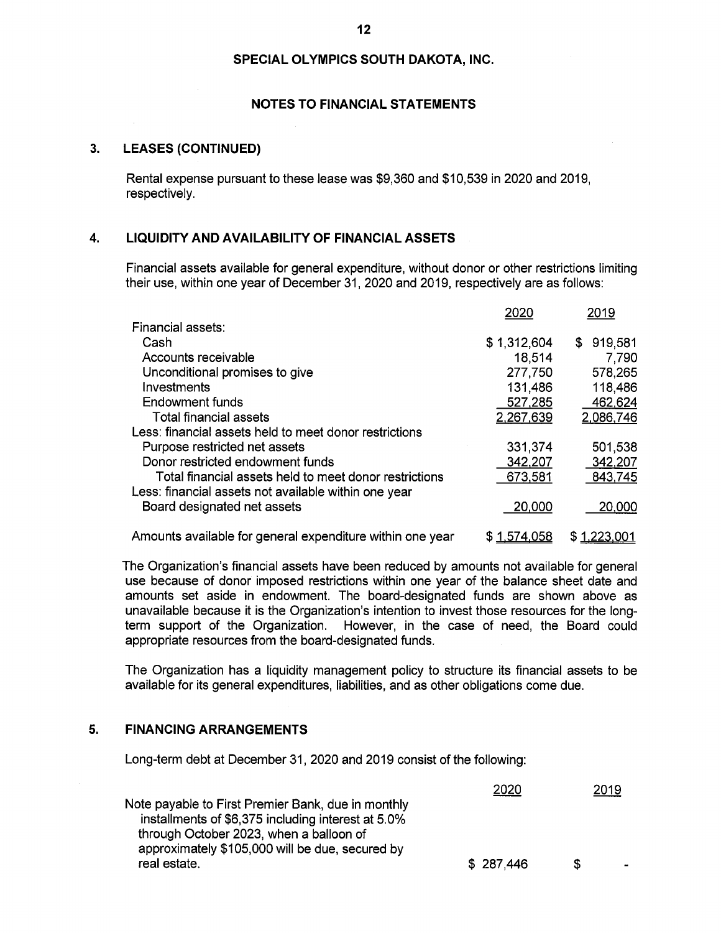#### NOTES TO FINANCIAL STATEMENTS

#### 3. LEASES (CONTINUED)

Rental expense pursuant to these lease was \$9,360 and \$10,539 in 2020 and 2019, respectively.

#### 4. LIQUIDITY AND AVAILABILITY OF FINANCIAL ASSETS

Financial assets available for general expenditure, without donor or other restrictions limiting their use, within one year of December 31, 2020 and 2019, respectively are as follows:

|                                                           | 2020        | 2019        |
|-----------------------------------------------------------|-------------|-------------|
| Financial assets:                                         |             |             |
| Cash                                                      | \$1,312,604 | \$919,581   |
| Accounts receivable                                       | 18,514      | 7,790       |
| Unconditional promises to give                            | 277,750     | 578,265     |
| Investments                                               | 131,486     | 118,486     |
| <b>Endowment funds</b>                                    | 527,285     | 462,624     |
| Total financial assets                                    | 2,267,639   | 2,086,746   |
| Less: financial assets held to meet donor restrictions    |             |             |
| Purpose restricted net assets                             | 331,374     | 501,538     |
| Donor restricted endowment funds                          | 342,207     | 342,207     |
| Total financial assets held to meet donor restrictions    | 673,581     | 843,745     |
| Less: financial assets not available within one year      |             |             |
| Board designated net assets                               | 20,000      | 20,000      |
| Amounts available for general expenditure within one year | \$1,574,058 | \$1,223,001 |

The Organization's financial assets have been reduced by amounts not available for general use because of donor imposed restrictions within one year of the balance sheet date and amounts set aside in endowment. The board-designated funds are shown above as unavailable because it is the Organization's intention to invest those resources for the longterm support of the Organization. However, in the case of need, the Board could appropriate resources from the board-designated funds.

The Organization has a liquidity management policy to structure its financial assets to be available for its general expenditures, liabilities, and as other obligations come due.

#### 5. FINANCING ARRANGEMENTS

Long-term debt at December 31, 2020 and 2019 consist of the following:

| Note payable to First Premier Bank, due in monthly<br>installments of \$6,375 including interest at 5.0%<br>through October 2023, when a balloon of<br>approximately \$105,000 will be due, secured by | 2020       |   | 2019 |
|--------------------------------------------------------------------------------------------------------------------------------------------------------------------------------------------------------|------------|---|------|
| real estate.                                                                                                                                                                                           | \$ 287,446 | S |      |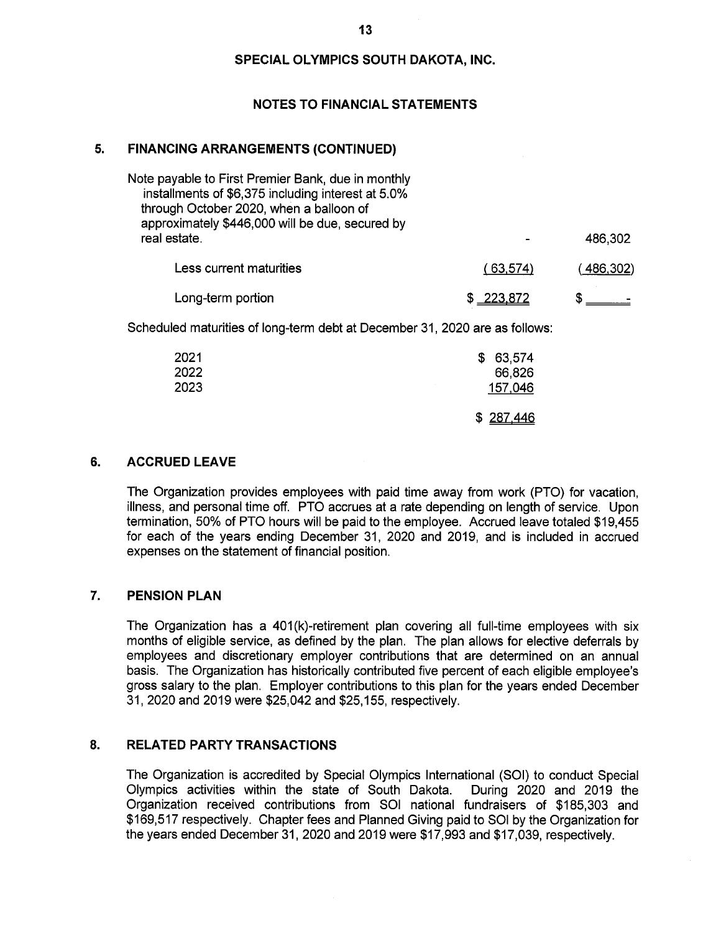#### NOTES TO FINANCIAL STATEMENTS

#### 5. FINANCING ARRANGEMENTS (CONTINUED)

Note payable to First Premier Bank, due in monthly installments of \$6,375 including interest at 5.0% through October 2020, when a balloon of approximately \$446,000 will be due, secured by real estate. - 486,302

| Less current maturities | (63, 574) | (486,302) |
|-------------------------|-----------|-----------|
| Long-term portion       | \$223,872 |           |

| Scheduled maturities of long-term debt at December 31, 2020 are as follows |           |
|----------------------------------------------------------------------------|-----------|
| 2021                                                                       | \$63,574  |
| 2022                                                                       | 66,826    |
| 2023                                                                       | 157,046   |
|                                                                            | \$287.446 |

#### 6. ACCRUED LEAVE

The Organization provides employees with paid time away from work (PTO) for vacation, illness, and personal time off. PTO accrues at a rate depending on length of service. Upon termination, 50% of PTO hours will be paid to the employee. Accrued leave totaled \$19,455 for each of the years ending December 31, 2020 and 2019, and is included in accrued expenses on the statement of financial position.

#### 7. PENSION PLAN

The Organization has a 401(k)-retirement plan covering all full-time employees with six months of eligible service, as defined by the plan. The plan allows for elective deferrals by employees and discretionary employer contributions that are determined on an annual basis. The Organization has historically contributed five percent of each eligible employee's gross salary to the plan. Employer contributions to this plan for the years ended December 31, 2020 and 2019 were \$25,042 and \$25,155, respectively.

#### 8. RELATED PARTY TRANSACTIONS

The Organization is accredited by Special Olympics International (SOI) to conduct Special Olympics activities within the state of South Dakota. During 2020 and 2019 the Organization received contributions from SOI national fundraisers of \$185,303 and \$169,517 respectively. Chapter fees and Planned Giving paid to SOI by the Organization for the years ended December 31, 2020 and 2019 were \$17,993 and \$17,039, respectively.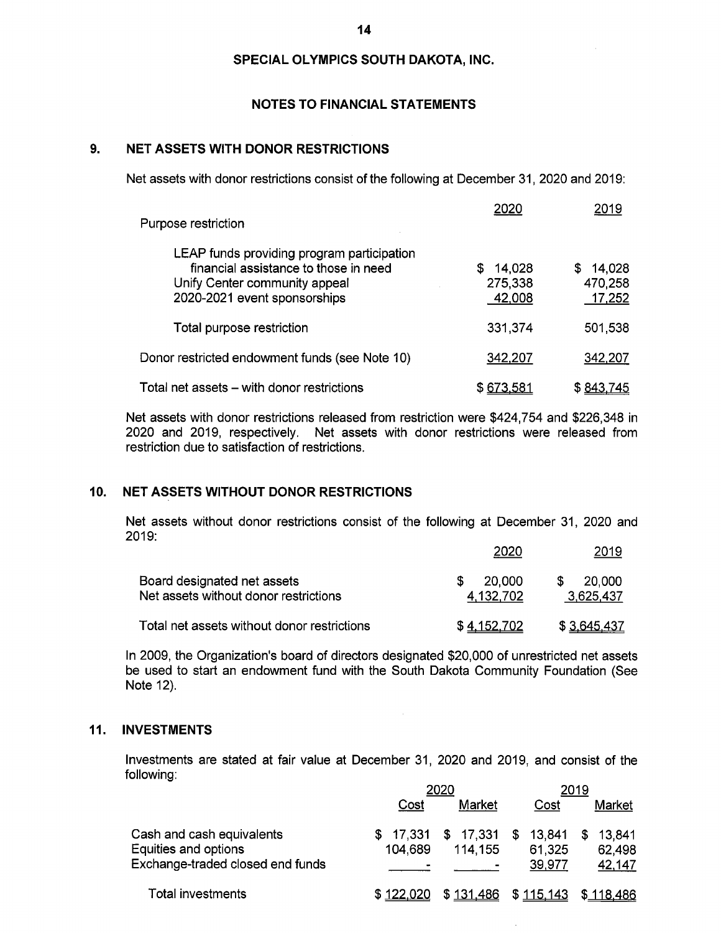#### NOTES TO FINANCIAL STATEMENTS

#### 9. NET ASSETS WITH DONOR RESTRICTIONS

Net assets with donor restrictions consist of the following at December 31, 2020 and 2019:

| Purpose restriction                                                                                                                                  | 2020                          | 2019                               |
|------------------------------------------------------------------------------------------------------------------------------------------------------|-------------------------------|------------------------------------|
| LEAP funds providing program participation<br>financial assistance to those in need<br>Unify Center community appeal<br>2020-2021 event sponsorships | \$14,028<br>275,338<br>42,008 | 14,028<br>\$.<br>470,258<br>17,252 |
| Total purpose restriction                                                                                                                            | 331,374                       | 501,538                            |
| Donor restricted endowment funds (see Note 10)                                                                                                       | 342,207                       | 342,207                            |
| Total net assets – with donor restrictions                                                                                                           | \$ <u>673,581</u>             | \$843.745                          |

Net assets with donor restrictions released from restriction were \$424,754 and \$226,348 in 2020 and 2019, respectively. Net assets with donor restrictions were released from restriction due to satisfaction of restrictions.

### 10. NET ASSETS WITHOUT DONOR RESTRICTIONS

Net assets without donor restrictions consist of the following at December 31, 2020 and 2019:

| 119:                                                                 | 2020                | 2019                |
|----------------------------------------------------------------------|---------------------|---------------------|
| Board designated net assets<br>Net assets without donor restrictions | 20,000<br>4.132.702 | 20,000<br>3,625,437 |
| Total net assets without donor restrictions                          | \$4,152,702         | \$3.645.437         |

In 2009, the Organization's board of directors designated \$20,000 of unrestricted net assets be used to start an endowment fund with the South Dakota Community Foundation (See Note 12).

#### 11. INVESTMENTS

Investments are stated at fair value at December 31, 2020 and 2019, and consist of the following: 2020 2019

|                                                                                              |           | 2020                                     |                       | 2019                             |
|----------------------------------------------------------------------------------------------|-----------|------------------------------------------|-----------------------|----------------------------------|
|                                                                                              | Cost      | Market                                   | Cost                  | Market                           |
| Cash and cash equivalents<br><b>Equities and options</b><br>Exchange-traded closed end funds | 104.689   | $$17,331$ $$17,331$ $$13,841$<br>114,155 | 61,325<br>39,977      | 13,841<br>\$<br>62,498<br>42,147 |
| Total investments                                                                            | \$122,020 |                                          | $$131.486$ $$115.143$ | \$118,486                        |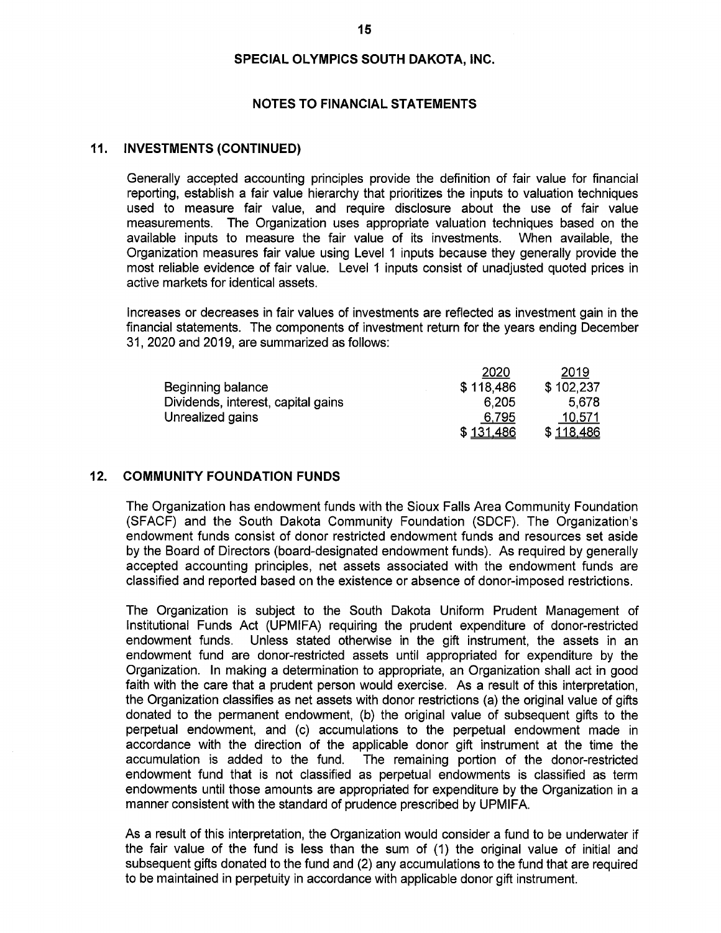#### NOTES TO FINANCIAL STATEMENTS

#### 11. INVESTMENTS (CONTINUED)

Generally accepted accounting principles provide the definition of fair value for financial reporting, establish a fair value hierarchy that prioritizes the inputs to valuation techniques used to measure fair value, and require disclosure about the use of fair value measurements. The Organization uses appropriate valuation techniques based on the available inputs to measure the fair value of its investments. When available, the available inputs to measure the fair value of its investments. Organization measures fair value using Level 1 inputs because they generally provide the most reliable evidence of fair value. Level 1 inputs consist of unadjusted quoted prices in active markets for identical assets.

Increases or decreases in fair values of investments are reflected as investment gain in the financial statements. The components of investment return for the years ending December 31, 2020 and 2019, are summarized as follows:

| Beginning balance<br>Dividends, interest, capital gains<br>Unrealized gains | 2020<br>\$118,486<br>6.205<br>6,795 | 2019<br>\$102,237<br>5.678<br>10,571 |
|-----------------------------------------------------------------------------|-------------------------------------|--------------------------------------|
|                                                                             | \$131,486                           | \$118,486                            |

#### 12. COMMUNITY FOUNDATION FUNDS

The Organization has endowment funds with the Sioux Falls Area Community Foundation (SFACF) and the South Dakota Community Foundation (SDCF). The Organization's endowment funds consist of donor restricted endowment funds and resources set aside by the Board of Directors (board-designated endowment funds). As required by generally accepted accounting principles, net assets associated with the endowment funds are classified and reported based on the existence or absence of donor-imposed restrictions.

The Organization is subject to the South Dakota Uniform Prudent Management of Institutional Funds Act (UPMIFA) requiring the prudent expenditure of donor-restricted endowment funds. Unless stated otherwise in the gift instrument, the assets in an endowment fund are donor-restricted assets until appropriated for expenditure by the Organization. In making a determination to appropriate, an Organization shall act in good faith with the care that a prudent person would exercise. As a result of this interpretation, the Organization classifies as net assets with donor restrictions (a) the original value of gifts donated to the permanent endowment, (b) the original value of subsequent gifts to the perpetual endowment, and (c) accumulations to the perpetual endowment made in accordance with the direction of the applicable donor gift instrument at the time the accumulation is added to the fund. The remaining portion of the donor-restricted endowment fund that is not classified as perpetual endowments is classified as term endowments until those amounts are appropriated for expenditure by the Organization in a manner consistent with the standard of prudence prescribed by UPMIFA.

As a result of this interpretation, the Organization would consider a fund to be underwater if the fair value of the fund is less than the sum of (1) the original value of initial and subsequent gifts donated to the fund and (2) any accumulations to the fund that are required to be maintained in perpetuity in accordance with applicable donor gift instrument.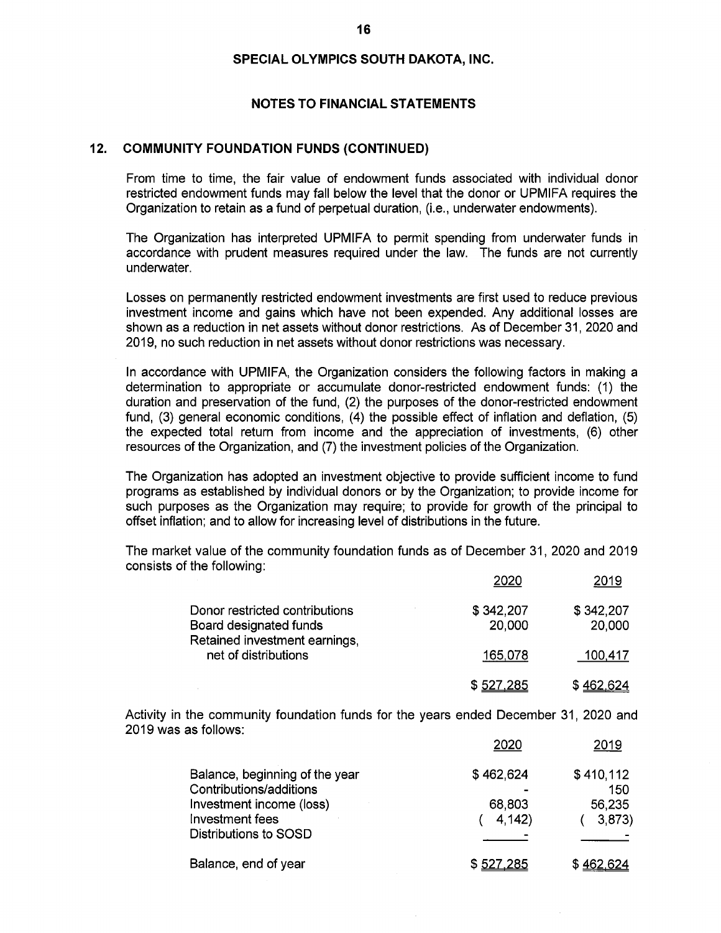#### NOTES TO FINANCIAL STATEMENTS

#### 12. COMMUNITY FOUNDATION FUNDS (CONTINUED)

From time to time, the fair value of endowment funds associated with individual donor restricted endowment funds may fall below the level that the donor or UPMIFA requires the Organization to retain as a fund of perpetual duration, (i.e., underwater endowments).

The Organization has interpreted UPMIFA to permit spending from underwater funds in accordance with prudent measures required under the law. The funds are not currently underwater.

Losses on permanently restricted endowment investments are first used to reduce previous investment income and gains which have not been expended. Any additional losses are shown as a reduction in net assets without donor restrictions. As of December 31, 2020 and 2019, no such reduction in net assets without donor restrictions was necessary.

In accordance with UPMIFA, the Organization considers the following factors in making a determination to appropriate or accumulate donor-restricted endowment funds: (1) the duration and preservation of the fund, (2) the purposes of the donor-restricted endowment fund, (3) general economic conditions, (4) the possible effect of inflation and deflation, (5) the expected total return from income and the appreciation of investments, (6) other resources of the Organization, and (7) the investment policies of the Organization.

The Organization has adopted an investment objective to provide sufficient income to fund programs as established by individual donors or by the Organization; to provide income for such purposes as the Organization may require; to provide for growth of the principal to offset inflation; and to allow for increasing level of distributions in the future.

The market value of the community foundation funds as of December 31, 2020 and 2019 consists of the following:

| r the following:                                                                          | 2020                | 2019                |
|-------------------------------------------------------------------------------------------|---------------------|---------------------|
| Donor restricted contributions<br>Board designated funds<br>Retained investment earnings, | \$342,207<br>20,000 | \$342,207<br>20,000 |
| net of distributions                                                                      | 165,078             | 100,417             |
|                                                                                           | \$527,285           | \$462,624           |

Activity in the community foundation funds for the years ended December 31, 2020 and 2019 was as follows:

| as follows:                                                          | 2020              | 2019             |
|----------------------------------------------------------------------|-------------------|------------------|
| Balance, beginning of the year<br>Contributions/additions            | \$462,624         | \$410,112<br>150 |
| Investment income (loss)<br>Investment fees<br>Distributions to SOSD | 68,803<br>4,142)  | 56.235<br>3,873  |
| Balance, end of year                                                 | \$ <u>527,285</u> | \$462.624        |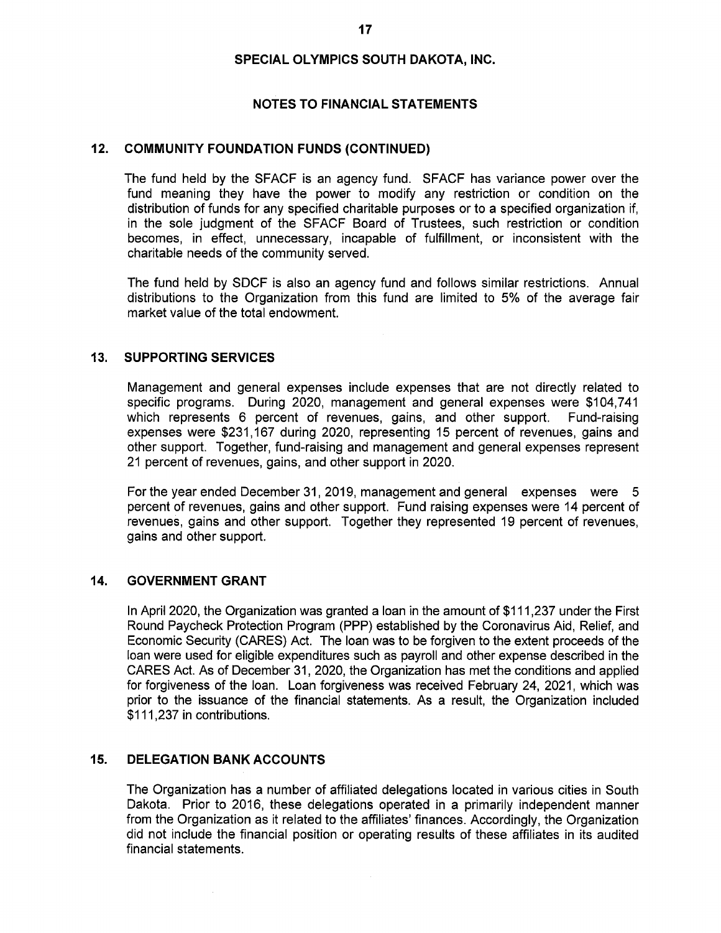#### NOTES TO FINANCIAL STATEMENTS

#### 12. COMMUNITY FOUNDATION FUNDS (CONTINUED)

The fund held by the SFACF is an agency fund. SFACF has variance power over the fund meaning they have the power to modify any restriction or condition on the distribution of funds for any specified charitable purposes or to a specified organization if, in the sole judgment of the SFACF Board of Trustees, such restriction or condition becomes, in effect, unnecessary, incapable of fulfillment, or inconsistent with the charitable needs of the community served.

The fund held by SDCF is also an agency fund and follows similar restrictions. Annual distributions to the Organization from this fund are limited to 5% of the average fair market value of the total endowment.

#### 13. SUPPORTING SERVICES

Management and general expenses include expenses that are not directly related to specific programs. During 2020, management and general expenses were \$104,741 which represents 6 percent of revenues, gains, and other support. Fund-raising expenses were \$231,167 during 2020, representing 15 percent of revenues, gains and other support. Together, fund-raising and management and general expenses represent 21 percent of revenues, gains, and other support in 2020.

For the year ended December 31, 2019, management and general expenses were 5 percent of revenues, gains and other support. Fund raising expenses were 14 percent of revenues, gains and other support. Together they represented 19 percent of revenues, gains and other support.

#### 14. GOVERNMENT GRANT

In April 2020, the Organization was granted a loan in the amount of \$111,237 under the First Round Paycheck Protection Program (PPP) established by the Coronavirus Aid, Relief, and Economic Security (CARES) Act. The loan was to be forgiven to the extent proceeds of the loan were used for eligible expenditures such as payroll and other expense described in the CARES Act. As of December 31, 2020, the Organization has met the conditions and applied for forgiveness of the loan. Loan forgiveness was received February 24, 2021, which was prior to the issuance of the financial statements. As a result, the Organization included \$111,237 in contributions.

#### 15. DELEGATION BANK ACCOUNTS

The Organization has a number of affiliated delegations located in various cities in South Dakota. Prior to 2016, these delegations operated in a primarily independent manner from the Organization as it related to the affiliates' finances. Accordingly, the Organization did not include the financial position or operating results of these affiliates in its audited financial statements.